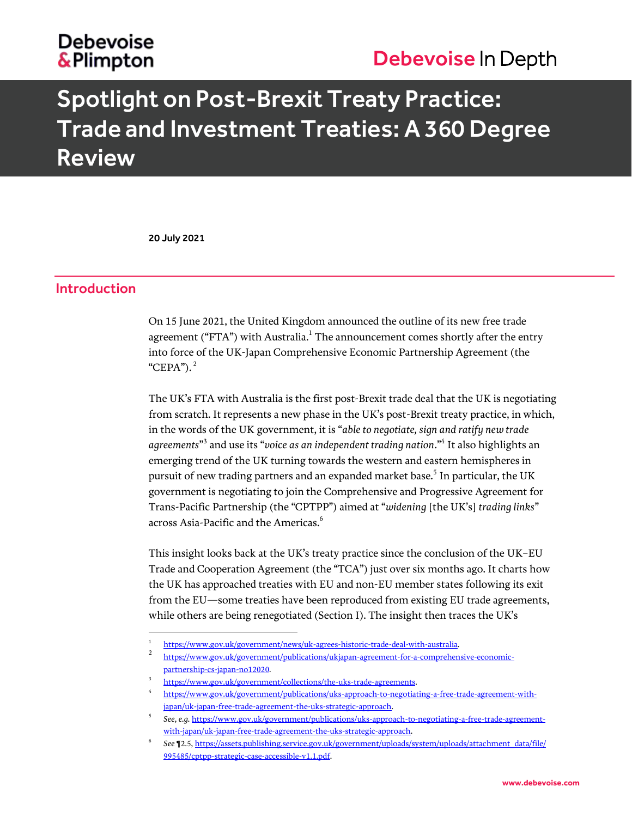# **Debevoise** & Plimpton

# Debevoise In Depth

# Spotlight on Post-Brexit Treaty Practice: Trade and Investment Treaties: A 360 Degree **Review**

20 July 2021

l

## Introduction

On 15 June 2021, the United Kingdom announced the outline of its new free trade agreement ("FTA") with Australia. $^{\rm 1}$  The announcement comes shortly after the entry into force of the UK-Japan Comprehensive Economic Partnership Agreement (the "CEPA"). <sup>2</sup>

The UK's FTA with Australia is the first post-Brexit trade deal that the UK is negotiating from scratch. It represents a new phase in the UK's post-Brexit treaty practice, in which, in the words of the UK government, it is "*able to negotiate, sign and ratify new trade agreements*" 3 and use its "*voice as an independent trading nation*."<sup>4</sup> It also highlights an emerging trend of the UK turning towards the western and eastern hemispheres in pursuit of new trading partners and an expanded market base. $^5$  In particular, the UK government is negotiating to join the Comprehensive and Progressive Agreement for Trans-Pacific Partnership (the "CPTPP") aimed at "*widening* [the UK's] *trading links*" across Asia-Pacific and the Americas.<sup>6</sup>

This insight looks back at the UK's treaty practice since the conclusion of the UK–EU Trade and Cooperation Agreement (the "TCA") just over six months ago. It charts how the UK has approached treaties with EU and non-EU member states following its exit from the EU—some treaties have been reproduced from existing EU trade agreements, while others are being renegotiated (Section I). The insight then traces the UK's

<sup>1</sup> [https://www.gov.uk/government/news/uk-agrees-historic-trade-deal-with-australia.](https://www.gov.uk/government/news/uk-agrees-historic-trade-deal-with-australia)

<sup>2</sup> [https://www.gov.uk/government/publications/ukjapan-agreement-for-a-comprehensive-economic](https://www.gov.uk/government/publications/ukjapan-agreement-for-a-comprehensive-economic-partnership-cs-japan-no12020)[partnership-cs-japan-no12020.](https://www.gov.uk/government/publications/ukjapan-agreement-for-a-comprehensive-economic-partnership-cs-japan-no12020)

<sup>3</sup> [https://www.gov.uk/government/collections/the-uks-trade-agreements.](https://www.gov.uk/government/collections/the-uks-trade-agreements)

<sup>4</sup> [https://www.gov.uk/government/publications/uks-approach-to-negotiating-a-free-trade-agreement-with](https://www.gov.uk/government/publications/uks-approach-to-negotiating-a-free-trade-agreement-with-japan/uk-japan-free-trade-agreement-the-uks-strategic-approach)[japan/uk-japan-free-trade-agreement-the-uks-strategic-approach.](https://www.gov.uk/government/publications/uks-approach-to-negotiating-a-free-trade-agreement-with-japan/uk-japan-free-trade-agreement-the-uks-strategic-approach)

<sup>5</sup> *See*, *e.g.* [https://www.gov.uk/government/publications/uks-approach-to-negotiating-a-free-trade-agreement](https://www.gov.uk/government/publications/uks-approach-to-negotiating-a-free-trade-agreement-with-japan/uk-japan-free-trade-agreement-the-uks-strategic-approach)[with-japan/uk-japan-free-trade-agreement-the-uks-strategic-approach.](https://www.gov.uk/government/publications/uks-approach-to-negotiating-a-free-trade-agreement-with-japan/uk-japan-free-trade-agreement-the-uks-strategic-approach) 

<sup>6</sup> *See* ¶2.5[, https://assets.publishing.service.gov.uk/government/uploads/system/uploads/attachment\\_data/file/](https://assets.publishing.service.gov.uk/government/uploads/system/uploads/attachment_data/file/995485/cptpp-strategic-case-accessible-v1.1.pdf) [995485/cptpp-strategic-case-accessible-v1.1.pdf.](https://assets.publishing.service.gov.uk/government/uploads/system/uploads/attachment_data/file/995485/cptpp-strategic-case-accessible-v1.1.pdf)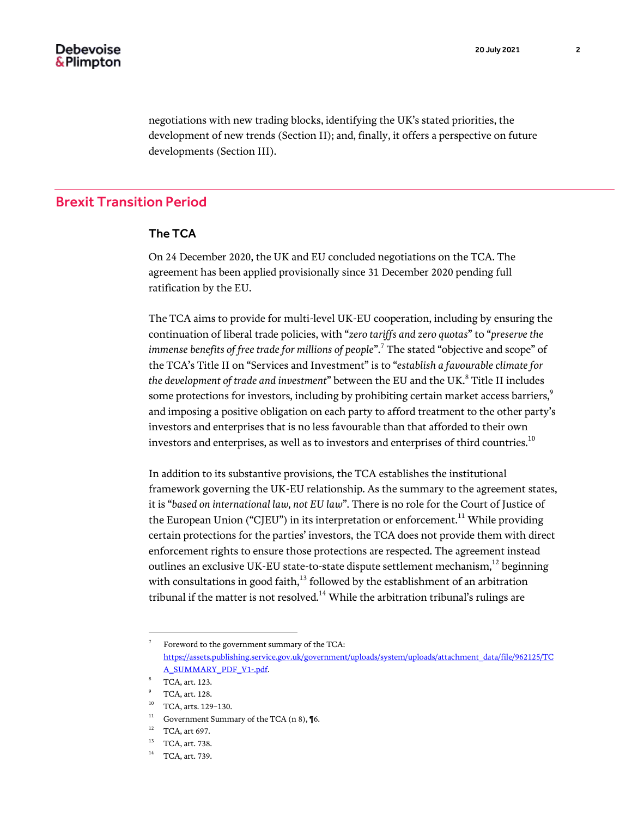negotiations with new trading blocks, identifying the UK's stated priorities, the development of new trends (Section II); and, finally, it offers a perspective on future developments (Section III).

# Brexit Transition Period

### The TCA

On 24 December 2020, the UK and EU concluded negotiations on the TCA. The agreement has been applied provisionally since 31 December 2020 pending full ratification by the EU.

The TCA aims to provide for multi-level UK-EU cooperation, including by ensuring the continuation of liberal trade policies, with "*zero tariffs and zero quotas*" to "*preserve the immense benefits of free trade for millions of people*".<sup>7</sup> The stated "objective and scope" of the TCA's Title II on "Services and Investment" is to "*establish a favourable climate for*  the development of trade and investment" between the EU and the UK.<sup>8</sup> Title II includes some protections for investors, including by prohibiting certain market access barriers, $9$ and imposing a positive obligation on each party to afford treatment to the other party's investors and enterprises that is no less favourable than that afforded to their own investors and enterprises, as well as to investors and enterprises of third countries.<sup>10</sup>

In addition to its substantive provisions, the TCA establishes the institutional framework governing the UK-EU relationship. As the summary to the agreement states, it is "*based on international law, not EU law*". There is no role for the Court of Justice of the European Union ("CJEU") in its interpretation or enforcement.<sup>11</sup> While providing certain protections for the parties' investors, the TCA does not provide them with direct enforcement rights to ensure those protections are respected. The agreement instead outlines an exclusive UK-EU state-to-state dispute settlement mechanism,<sup>12</sup> beginning with consultations in good faith, $13$  followed by the establishment of an arbitration tribunal if the matter is not resolved. $14$  While the arbitration tribunal's rulings are

<sup>7</sup> Foreword to the government summary of the TCA: [https://assets.publishing.service.gov.uk/government/uploads/system/uploads/attachment\\_data/file/962125/TC](https://assets.publishing.service.gov.uk/government/uploads/system/uploads/attachment_data/file/962125/TCA_SUMMARY_PDF_V1-.pdf) [A\\_SUMMARY\\_PDF\\_V1-.pdf.](https://assets.publishing.service.gov.uk/government/uploads/system/uploads/attachment_data/file/962125/TCA_SUMMARY_PDF_V1-.pdf)

<sup>8</sup> TCA, art. 123.

<sup>9</sup> TCA, art. 128.

<sup>10</sup> TCA, arts. 129–130.

 $^{11}$  Government Summary of the TCA (n 8), ¶6.

 $12$  TCA, art 697.

<sup>&</sup>lt;sup>13</sup> TCA, art. 738.

<sup>&</sup>lt;sup>14</sup> TCA, art. 739.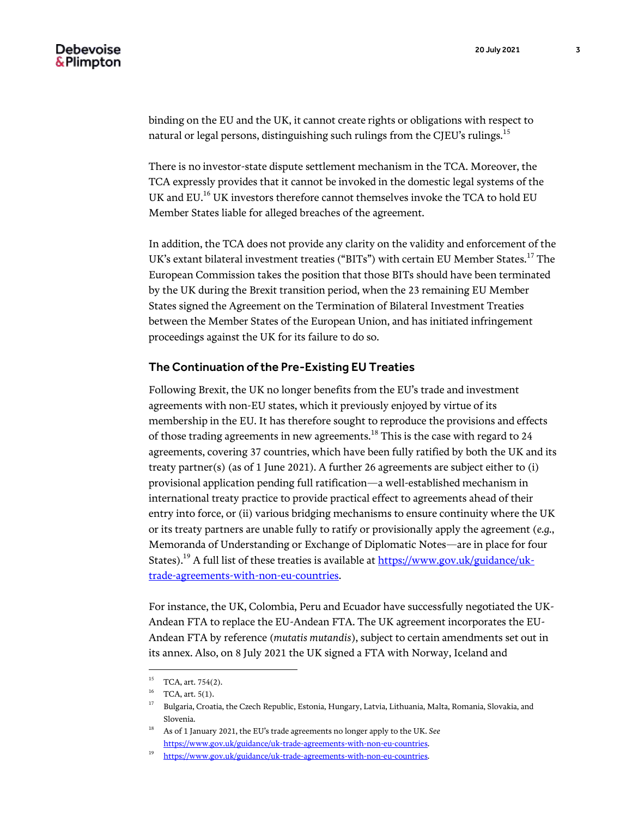binding on the EU and the UK, it cannot create rights or obligations with respect to natural or legal persons, distinguishing such rulings from the CJEU's rulings.<sup>15</sup>

There is no investor-state dispute settlement mechanism in the TCA. Moreover, the TCA expressly provides that it cannot be invoked in the domestic legal systems of the UK and EU.<sup>16</sup> UK investors therefore cannot themselves invoke the TCA to hold EU Member States liable for alleged breaches of the agreement.

In addition, the TCA does not provide any clarity on the validity and enforcement of the UK's extant bilateral investment treaties ("BITs") with certain EU Member States.<sup>17</sup> The European Commission takes the position that those BITs should have been terminated by the UK during the Brexit transition period, when the 23 remaining EU Member States signed the Agreement on the Termination of Bilateral Investment Treaties between the Member States of the European Union, and has initiated infringement proceedings against the UK for its failure to do so.

#### The Continuation of the Pre-Existing EU Treaties

Following Brexit, the UK no longer benefits from the EU's trade and investment agreements with non-EU states, which it previously enjoyed by virtue of its membership in the EU. It has therefore sought to reproduce the provisions and effects of those trading agreements in new agreements.<sup>18</sup> This is the case with regard to 24 agreements, covering 37 countries, which have been fully ratified by both the UK and its treaty partner(s) (as of 1 June 2021). A further 26 agreements are subject either to (i) provisional application pending full ratification—a well-established mechanism in international treaty practice to provide practical effect to agreements ahead of their entry into force, or (ii) various bridging mechanisms to ensure continuity where the UK or its treaty partners are unable fully to ratify or provisionally apply the agreement (*e.g.*, Memoranda of Understanding or Exchange of Diplomatic Notes—are in place for four States).<sup>19</sup> A full list of these treaties is available at  $\frac{https://www.gov.uk/guidance/uk-1}{https://www.gov.uk/guidance/uk-1}$ [trade-agreements-with-non-eu-countries.](https://www.gov.uk/guidance/uk-trade-agreements-with-non-eu-countries)

For instance, the UK, Colombia, Peru and Ecuador have successfully negotiated the UK-Andean FTA to replace the EU-Andean FTA. The UK agreement incorporates the EU-Andean FTA by reference (*mutatis mutandis*), subject to certain amendments set out in its annex. Also, on 8 July 2021 the UK signed a FTA with Norway, Iceland and

 $15\,$ TCA, art. 754(2).

 $16$  TCA, art.  $5(1)$ .

<sup>&</sup>lt;sup>17</sup> Bulgaria, Croatia, the Czech Republic, Estonia, Hungary, Latvia, Lithuania, Malta, Romania, Slovakia, and Slovenia.

<sup>18</sup> As of 1 January 2021, the EU's trade agreements no longer apply to the UK. *See* [https://www.gov.uk/guidance/uk-trade-agreements-with-non-eu-countries.](https://www.gov.uk/guidance/uk-trade-agreements-with-non-eu-countries)

<sup>19</sup> [https://www.gov.uk/guidance/uk-trade-agreements-with-non-eu-countries.](https://www.gov.uk/guidance/uk-trade-agreements-with-non-eu-countries)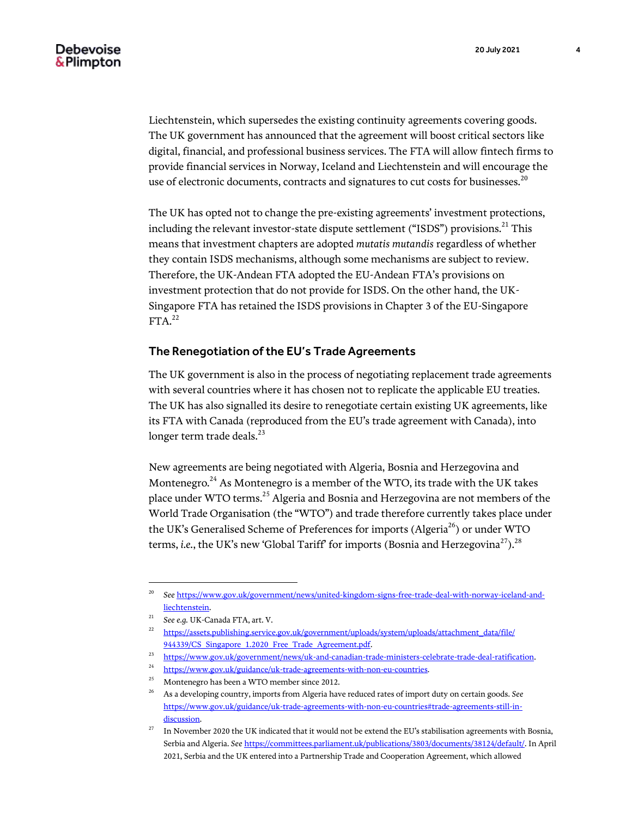Liechtenstein, which supersedes the existing continuity agreements covering goods. The UK government has announced that the agreement will boost critical sectors like digital, financial, and professional business services. The FTA will allow fintech firms to provide financial services in Norway, Iceland and Liechtenstein and will encourage the use of electronic documents, contracts and signatures to cut costs for businesses.<sup>20</sup>

The UK has opted not to change the pre-existing agreements' investment protections, including the relevant investor-state dispute settlement ("ISDS") provisions.<sup>21</sup> This means that investment chapters are adopted *mutatis mutandis* regardless of whether they contain ISDS mechanisms, although some mechanisms are subject to review. Therefore, the UK-Andean FTA adopted the EU-Andean FTA's provisions on investment protection that do not provide for ISDS. On the other hand, the UK-Singapore FTA has retained the ISDS provisions in Chapter 3 of the EU-Singapore  $FTA.<sup>22</sup>$ 

### The Renegotiation of the EU's Trade Agreements

The UK government is also in the process of negotiating replacement trade agreements with several countries where it has chosen not to replicate the applicable EU treaties. The UK has also signalled its desire to renegotiate certain existing UK agreements, like its FTA with Canada (reproduced from the EU's trade agreement with Canada), into longer term trade deals.<sup>23</sup>

New agreements are being negotiated with Algeria, Bosnia and Herzegovina and Montenegro.<sup>24</sup> As Montenegro is a member of the WTO, its trade with the UK takes place under WTO terms.<sup>25</sup> Algeria and Bosnia and Herzegovina are not members of the World Trade Organisation (the "WTO") and trade therefore currently takes place under the UK's Generalised Scheme of Preferences for imports (Algeria<sup>26</sup>) or under WTO terms, *i.e.*, the UK's new 'Global Tariff' for imports (Bosnia and Herzegovina<sup>27</sup>).<sup>28</sup>

<sup>20</sup> *See* [https://www.gov.uk/government/news/united-kingdom-signs-free-trade-deal-with-norway-iceland-and](https://www.gov.uk/government/news/united-kingdom-signs-free-trade-deal-with-norway-iceland-and-liechtenstein)[liechtenstein.](https://www.gov.uk/government/news/united-kingdom-signs-free-trade-deal-with-norway-iceland-and-liechtenstein)

<sup>21</sup> *See e.g.* UK-Canada FTA, art. V.

<sup>&</sup>lt;sup>22</sup> [https://assets.publishing.service.gov.uk/government/uploads/system/uploads/attachment\\_data/file/](https://assets.publishing.service.gov.uk/government/uploads/system/uploads/attachment_data/file/944339/CS_Singapore_1.2020_Free_Trade_Agreement.pdf) 944339/CS Singapore 1.2020 Free Trade Agreement.pdf.

<sup>23</sup> [https://www.gov.uk/government/news/uk-and-canadian-trade-ministers-celebrate-trade-deal-ratification.](https://www.gov.uk/government/news/uk-and-canadian-trade-ministers-celebrate-trade-deal-ratification)

 $\frac{24}{100}$  [https://www.gov.uk/guidance/uk-trade-agreements-with-non-eu-countries.](https://www.gov.uk/guidance/uk-trade-agreements-with-non-eu-countries)<br>
Montenegro has been a WTO member since 2012

<sup>25</sup> Montenegro has been a WTO member since 2012.

<sup>26</sup> As a developing country, imports from Algeria have reduced rates of import duty on certain goods. *See* [https://www.gov.uk/guidance/uk-trade-agreements-with-non-eu-countries#trade-agreements-still-in](https://www.gov.uk/guidance/uk-trade-agreements-with-non-eu-countries#trade-agreements-still-in-discussion)[discussion.](https://www.gov.uk/guidance/uk-trade-agreements-with-non-eu-countries#trade-agreements-still-in-discussion)

 $27$  In November 2020 the UK indicated that it would not be extend the EU's stabilisation agreements with Bosnia, Serbia and Algeria. *See* [https://committees.parliament.uk/publications/3803/documents/38124/default/.](https://committees.parliament.uk/publications/3803/documents/38124/default/) In April 2021, Serbia and the UK entered into a Partnership Trade and Cooperation Agreement, which allowed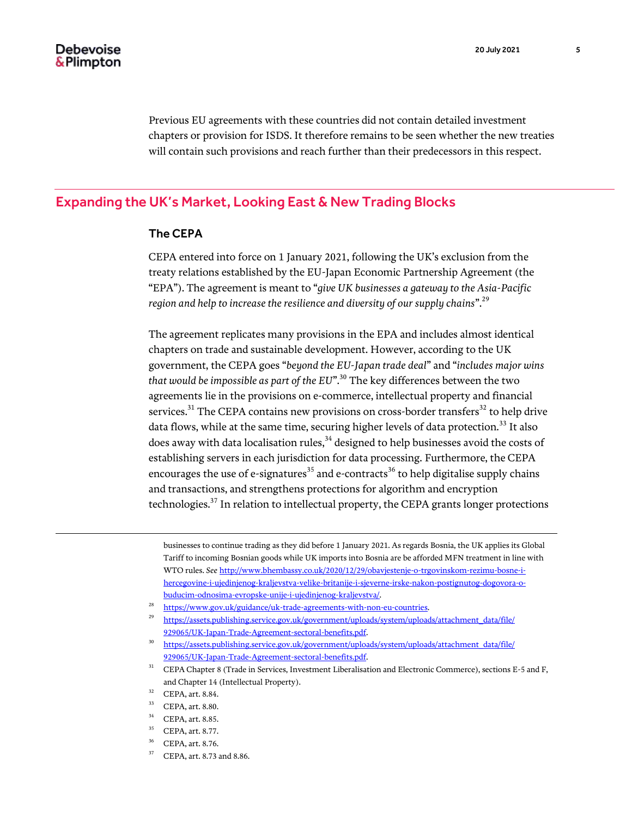l

Previous EU agreements with these countries did not contain detailed investment chapters or provision for ISDS. It therefore remains to be seen whether the new treaties will contain such provisions and reach further than their predecessors in this respect.

# Expanding the UK's Market, Looking East & New Trading Blocks

## The CEPA

CEPA entered into force on 1 January 2021, following the UK's exclusion from the treaty relations established by the EU-Japan Economic Partnership Agreement (the "EPA"). The agreement is meant to "*give UK businesses a gateway to the Asia-Pacific region and help to increase the resilience and diversity of our supply chains*".<sup>29</sup>

The agreement replicates many provisions in the EPA and includes almost identical chapters on trade and sustainable development. However, according to the UK government, the CEPA goes "*beyond the EU-Japan trade deal*" and "*includes major wins that would be impossible as part of the EU*".<sup>30</sup> The key differences between the two agreements lie in the provisions on e-commerce, intellectual property and financial services.<sup>31</sup> The CEPA contains new provisions on cross-border transfers<sup>32</sup> to help drive data flows, while at the same time, securing higher levels of data protection.<sup>33</sup> It also does away with data localisation rules, $34$  designed to help businesses avoid the costs of establishing servers in each jurisdiction for data processing. Furthermore, the CEPA encourages the use of e-signatures<sup>35</sup> and e-contracts<sup>36</sup> to help digitalise supply chains and transactions, and strengthens protections for algorithm and encryption technologies. $37$  In relation to intellectual property, the CEPA grants longer protections

businesses to continue trading as they did before 1 January 2021. As regards Bosnia, the UK applies its Global Tariff to incoming Bosnian goods while UK imports into Bosnia are be afforded MFN treatment in line with WTO rules. *See* [http://www.bhembassy.co.uk/2020/12/29/obavjestenje-o-trgovinskom-rezimu-bosne-i](http://www.bhembassy.co.uk/2020/12/29/obavjestenje-o-trgovinskom-rezimu-bosne-i-hercegovine-i-ujedinjenog-kraljevstva-velike-britanije-i-sjeverne-irske-nakon-postignutog-dogovora-o-buducim-odnosima-evropske-unije-i-ujedinjenog-kraljevstva/)[hercegovine-i-ujedinjenog-kraljevstva-velike-britanije-i-sjeverne-irske-nakon-postignutog-dogovora-o](http://www.bhembassy.co.uk/2020/12/29/obavjestenje-o-trgovinskom-rezimu-bosne-i-hercegovine-i-ujedinjenog-kraljevstva-velike-britanije-i-sjeverne-irske-nakon-postignutog-dogovora-o-buducim-odnosima-evropske-unije-i-ujedinjenog-kraljevstva/)[buducim-odnosima-evropske-unije-i-ujedinjenog-kraljevstva/.](http://www.bhembassy.co.uk/2020/12/29/obavjestenje-o-trgovinskom-rezimu-bosne-i-hercegovine-i-ujedinjenog-kraljevstva-velike-britanije-i-sjeverne-irske-nakon-postignutog-dogovora-o-buducim-odnosima-evropske-unije-i-ujedinjenog-kraljevstva/)

- <sup>28</sup> [https://www.gov.uk/guidance/uk-trade-agreements-with-non-eu-countries.](https://www.gov.uk/guidance/uk-trade-agreements-with-non-eu-countries)
- <sup>29</sup> [https://assets.publishing.service.gov.uk/government/uploads/system/uploads/attachment\\_data/file/](https://assets.publishing.service.gov.uk/government/uploads/system/uploads/attachment_data/file/929065/UK-Japan-Trade-Agreement-sectoral-benefits.pdf) [929065/UK-Japan-Trade-Agreement-sectoral-benefits.pdf.](https://assets.publishing.service.gov.uk/government/uploads/system/uploads/attachment_data/file/929065/UK-Japan-Trade-Agreement-sectoral-benefits.pdf)
- <sup>30</sup> [https://assets.publishing.service.gov.uk/government/uploads/system/uploads/attachment\\_data/file/](https://assets.publishing.service.gov.uk/government/uploads/system/uploads/attachment_data/file/929065/UK-Japan-Trade-Agreement-sectoral-benefits.pdf) [929065/UK-Japan-Trade-Agreement-sectoral-benefits.pdf.](https://assets.publishing.service.gov.uk/government/uploads/system/uploads/attachment_data/file/929065/UK-Japan-Trade-Agreement-sectoral-benefits.pdf)
- <sup>31</sup> CEPA Chapter 8 (Trade in Services, Investment Liberalisation and Electronic Commerce), sections E-5 and F, and Chapter 14 (Intellectual Property).
- <sup>32</sup> CEPA, art. 8.84.
- <sup>33</sup> CEPA, art. 8.80.
- <sup>34</sup> CEPA, art. 8.85.
- <sup>35</sup> CEPA, art. 8.77.
- <sup>36</sup> CEPA, art. 8.76.
- <sup>37</sup> CEPA, art. 8.73 and 8.86.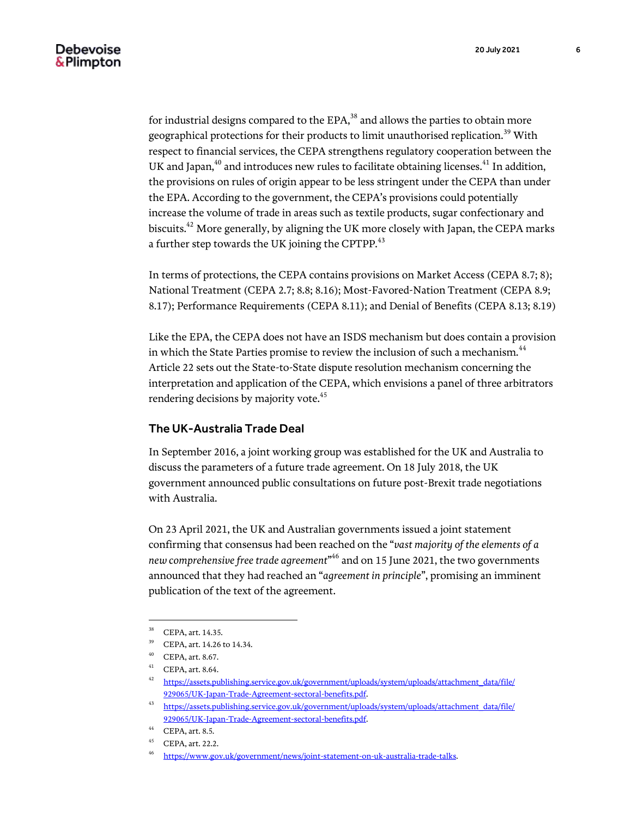for industrial designs compared to the  $EPA<sub>1</sub><sup>38</sup>$  and allows the parties to obtain more geographical protections for their products to limit unauthorised replication.<sup>39</sup> With respect to financial services, the CEPA strengthens regulatory cooperation between the UK and Japan, $^{40}$  and introduces new rules to facilitate obtaining licenses. $^{41}$  In addition, the provisions on rules of origin appear to be less stringent under the CEPA than under the EPA. According to the government, the CEPA's provisions could potentially increase the volume of trade in areas such as textile products, sugar confectionary and biscuits.<sup>42</sup> More generally, by aligning the UK more closely with Japan, the CEPA marks a further step towards the UK joining the CPTPP.<sup>43</sup>

In terms of protections, the CEPA contains provisions on Market Access (CEPA 8.7; 8); National Treatment (CEPA 2.7; 8.8; 8.16); Most-Favored-Nation Treatment (CEPA 8.9; 8.17); Performance Requirements (CEPA 8.11); and Denial of Benefits (CEPA 8.13; 8.19)

Like the EPA, the CEPA does not have an ISDS mechanism but does contain a provision in which the State Parties promise to review the inclusion of such a mechanism.<sup>44</sup> Article 22 sets out the State-to-State dispute resolution mechanism concerning the interpretation and application of the CEPA, which envisions a panel of three arbitrators rendering decisions by majority vote.<sup>45</sup>

### The UK-Australia Trade Deal

In September 2016, a joint working group was established for the UK and Australia to discuss the parameters of a future trade agreement. On 18 July 2018, the UK government announced public consultations on future post-Brexit trade negotiations with Australia.

On 23 April 2021, the UK and Australian governments issued a joint statement confirming that consensus had been reached on the "*vast majority of the elements of a new comprehensive free trade agreement*" <sup>46</sup> and on 15 June 2021, the two governments announced that they had reached an "*agreement in principle*", promising an imminent publication of the text of the agreement.

<sup>&</sup>lt;sup>38</sup> CEPA, art. 14.35.

<sup>39</sup> CEPA, art. 14.26 to 14.34.

<sup>40</sup> CEPA, art. 8.67.

<sup>41</sup> CEPA, art. 8.64.

<sup>42</sup> [https://assets.publishing.service.gov.uk/government/uploads/system/uploads/attachment\\_data/file/](https://assets.publishing.service.gov.uk/government/uploads/system/uploads/attachment_data/file/929065/UK-Japan-Trade-Agreement-sectoral-benefits.pdf) [929065/UK-Japan-Trade-Agreement-sectoral-benefits.pdf.](https://assets.publishing.service.gov.uk/government/uploads/system/uploads/attachment_data/file/929065/UK-Japan-Trade-Agreement-sectoral-benefits.pdf)

<sup>43</sup> [https://assets.publishing.service.gov.uk/government/uploads/system/uploads/attachment\\_data/file/](https://assets.publishing.service.gov.uk/government/uploads/system/uploads/attachment_data/file/929065/UK-Japan-Trade-Agreement-sectoral-benefits.pdf) [929065/UK-Japan-Trade-Agreement-sectoral-benefits.pdf.](https://assets.publishing.service.gov.uk/government/uploads/system/uploads/attachment_data/file/929065/UK-Japan-Trade-Agreement-sectoral-benefits.pdf)

<sup>44</sup> CEPA, art. 8.5.

<sup>45</sup> CEPA, art. 22.2.

<sup>46</sup> [https://www.gov.uk/government/news/joint-statement-on-uk-australia-trade-talks.](https://www.gov.uk/government/news/joint-statement-on-uk-australia-trade-talks)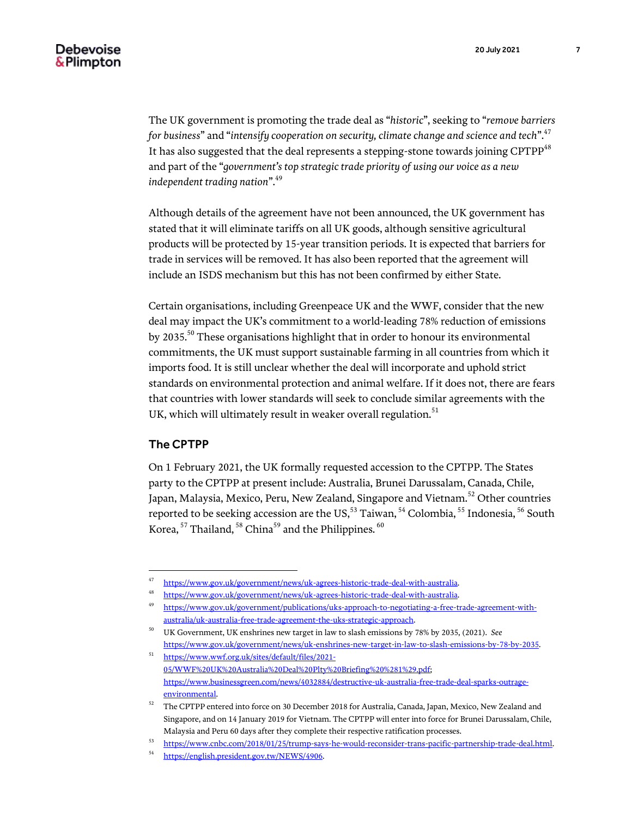The UK government is promoting the trade deal as "*historic*", seeking to "*remove barriers for business*" and "*intensify cooperation on security, climate change and science and tech*".<sup>47</sup> It has also suggested that the deal represents a stepping-stone towards joining CPTPP<sup>48</sup> and part of the "*government's top strategic trade priority of using our voice as a new independent trading nation*".<sup>49</sup>

Although details of the agreement have not been announced, the UK government has stated that it will eliminate tariffs on all UK goods, although sensitive agricultural products will be protected by 15-year transition periods. It is expected that barriers for trade in services will be removed. It has also been reported that the agreement will include an ISDS mechanism but this has not been confirmed by either State.

Certain organisations, including Greenpeace UK and the WWF, consider that the new deal may impact the UK's commitment to a world-leading 78% reduction of emissions by 2035.<sup>50</sup> These organisations highlight that in order to honour its environmental commitments, the UK must support sustainable farming in all countries from which it imports food. It is still unclear whether the deal will incorporate and uphold strict standards on environmental protection and animal welfare. If it does not, there are fears that countries with lower standards will seek to conclude similar agreements with the UK, which will ultimately result in weaker overall regulation. $51$ 

### The CPTPP

l

On 1 February 2021, the UK formally requested accession to the CPTPP. The States party to the CPTPP at present include: Australia, Brunei Darussalam, Canada, Chile, Japan, Malaysia, Mexico, Peru, New Zealand, Singapore and Vietnam.<sup>52</sup> Other countries reported to be seeking accession are the US,<sup>53</sup> Taiwan, <sup>54</sup> Colombia, <sup>55</sup> Indonesia, <sup>56</sup> South Korea, <sup>57</sup> Thailand, <sup>58</sup> China<sup>59</sup> and the Philippines. <sup>60</sup>

<sup>47</sup> [https://www.gov.uk/government/news/uk-agrees-historic-trade-deal-with-australia.](https://www.gov.uk/government/news/uk-agrees-historic-trade-deal-with-australia)<br>48 https://www.gov.uk/government/news/uk-agrees-historic-trade-deal-with-australia.

[https://www.gov.uk/government/news/uk-agrees-historic-trade-deal-with-australia.](https://www.gov.uk/government/news/uk-agrees-historic-trade-deal-with-australia)

<sup>49</sup> [https://www.gov.uk/government/publications/uks-approach-to-negotiating-a-free-trade-agreement-with](https://www.gov.uk/government/publications/uks-approach-to-negotiating-a-free-trade-agreement-with-australia/uk-australia-free-trade-agreement-the-uks-strategic-approach)[australia/uk-australia-free-trade-agreement-the-uks-strategic-approach.](https://www.gov.uk/government/publications/uks-approach-to-negotiating-a-free-trade-agreement-with-australia/uk-australia-free-trade-agreement-the-uks-strategic-approach)

<sup>50</sup> UK Government, UK enshrines new target in law to slash emissions by 78% by 2035, (2021). *See* [https://www.gov.uk/government/news/uk-enshrines-new-target-in-law-to-slash-emissions-by-78-by-2035.](https://www.gov.uk/government/news/uk-enshrines-new-target-in-law-to-slash-emissions-by-78-by-2035)

<sup>51</sup> [https://www.wwf.org.uk/sites/default/files/2021-](https://www.wwf.org.uk/sites/default/files/2021-05/WWF%20UK%20Australia%20Deal%20Plty%20Briefing%20%281%29.pdf) [05/WWF%20UK%20Australia%20Deal%20Plty%20Briefing%20%281%29.pdf;](https://www.wwf.org.uk/sites/default/files/2021-05/WWF%20UK%20Australia%20Deal%20Plty%20Briefing%20%281%29.pdf)  [https://www.businessgreen.com/news/4032884/destructive-uk-australia-free-trade-deal-sparks-outrage](https://www.businessgreen.com/news/4032884/destructive-uk-australia-free-trade-deal-sparks-outrage-environmental)[environmental.](https://www.businessgreen.com/news/4032884/destructive-uk-australia-free-trade-deal-sparks-outrage-environmental)

 $52$  The CPTPP entered into force on 30 December 2018 for Australia, Canada, Japan, Mexico, New Zealand and Singapore, and on 14 January 2019 for Vietnam. The CPTPP will enter into force for Brunei Darussalam, Chile, Malaysia and Peru 60 days after they complete their respective ratification processes.

<sup>53</sup> [https://www.cnbc.com/2018/01/25/trump-says-he-would-reconsider-trans-pacific-partnership-trade-deal.html.](https://www.cnbc.com/2018/01/25/trump-says-he-would-reconsider-trans-pacific-partnership-trade-deal.html)

<sup>54</sup> [https://english.president.gov.tw/NEWS/4906.](https://english.president.gov.tw/NEWS/4906)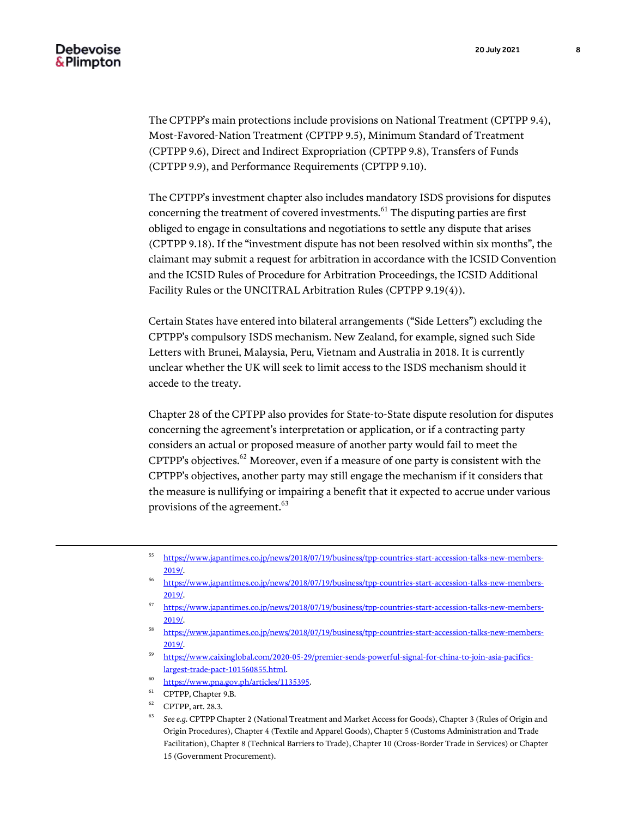l

The CPTPP's main protections include provisions on National Treatment (CPTPP 9.4), Most-Favored-Nation Treatment (CPTPP 9.5), Minimum Standard of Treatment (CPTPP 9.6), Direct and Indirect Expropriation (CPTPP 9.8), Transfers of Funds (CPTPP 9.9), and Performance Requirements (CPTPP 9.10).

The CPTPP's investment chapter also includes mandatory ISDS provisions for disputes concerning the treatment of covered investments.<sup>61</sup> The disputing parties are first obliged to engage in consultations and negotiations to settle any dispute that arises (CPTPP 9.18). If the "investment dispute has not been resolved within six months", the claimant may submit a request for arbitration in accordance with the ICSID Convention and the ICSID Rules of Procedure for Arbitration Proceedings, the ICSID Additional Facility Rules or the UNCITRAL Arbitration Rules (CPTPP 9.19(4)).

Certain States have entered into bilateral arrangements ("Side Letters") excluding the CPTPP's compulsory ISDS mechanism. New Zealand, for example, signed such Side Letters with Brunei, Malaysia, Peru, Vietnam and Australia in 2018. It is currently unclear whether the UK will seek to limit access to the ISDS mechanism should it accede to the treaty.

Chapter 28 of the CPTPP also provides for State-to-State dispute resolution for disputes concerning the agreement's interpretation or application, or if a contracting party considers an actual or proposed measure of another party would fail to meet the CPTPP's objectives. $62$  Moreover, even if a measure of one party is consistent with the CPTPP's objectives, another party may still engage the mechanism if it considers that the measure is nullifying or impairing a benefit that it expected to accrue under various provisions of the agreement.<sup>63</sup>

- <sup>55</sup> [https://www.japantimes.co.jp/news/2018/07/19/business/tpp-countries-start-accession-talks-new-members-](https://www.japantimes.co.jp/news/2018/07/19/business/tpp-countries-start-accession-talks-new-members-2019/)[2019/.](https://www.japantimes.co.jp/news/2018/07/19/business/tpp-countries-start-accession-talks-new-members-2019/)
- [https://www.japantimes.co.jp/news/2018/07/19/business/tpp-countries-start-accession-talks-new-members-](https://www.japantimes.co.jp/news/2018/07/19/business/tpp-countries-start-accession-talks-new-members-2019/)[2019/.](https://www.japantimes.co.jp/news/2018/07/19/business/tpp-countries-start-accession-talks-new-members-2019/)
- <sup>57</sup> [https://www.japantimes.co.jp/news/2018/07/19/business/tpp-countries-start-accession-talks-new-members-](https://www.japantimes.co.jp/news/2018/07/19/business/tpp-countries-start-accession-talks-new-members-2019/)[2019/.](https://www.japantimes.co.jp/news/2018/07/19/business/tpp-countries-start-accession-talks-new-members-2019/)
- <sup>58</sup> [https://www.japantimes.co.jp/news/2018/07/19/business/tpp-countries-start-accession-talks-new-members-](https://www.japantimes.co.jp/news/2018/07/19/business/tpp-countries-start-accession-talks-new-members-2019/)[2019/.](https://www.japantimes.co.jp/news/2018/07/19/business/tpp-countries-start-accession-talks-new-members-2019/)
- <sup>59</sup> [https://www.caixinglobal.com/2020-05-29/premier-sends-powerful-signal-for-china-to-join-asia-pacifics](https://www.caixinglobal.com/2020-05-29/premier-sends-powerful-signal-for-china-to-join-asia-pacifics-largest-trade-pact-101560855.html)[largest-trade-pact-101560855.html.](https://www.caixinglobal.com/2020-05-29/premier-sends-powerful-signal-for-china-to-join-asia-pacifics-largest-trade-pact-101560855.html)
- <sup>60</sup> [https://www.pna.gov.ph/articles/1135395.](https://www.pna.gov.ph/articles/1135395)
- <sup>61</sup> CPTPP, Chapter 9.B.
- <sup>62</sup> CPTPP, art. 28.3.
- <sup>63</sup> *See e.g.* CPTPP Chapter 2 (National Treatment and Market Access for Goods), Chapter 3 (Rules of Origin and Origin Procedures), Chapter 4 (Textile and Apparel Goods), Chapter 5 (Customs Administration and Trade Facilitation), Chapter 8 (Technical Barriers to Trade), Chapter 10 (Cross-Border Trade in Services) or Chapter 15 (Government Procurement).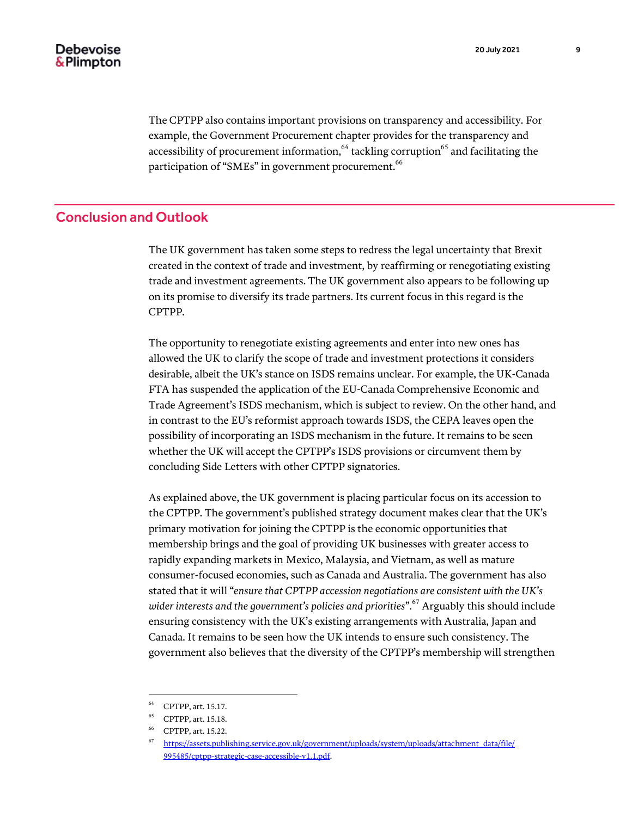The CPTPP also contains important provisions on transparency and accessibility. For example, the Government Procurement chapter provides for the transparency and accessibility of procurement information,<sup>64</sup> tackling corruption<sup>65</sup> and facilitating the participation of "SMEs" in government procurement.<sup>66</sup>

# Conclusion and Outlook

The UK government has taken some steps to redress the legal uncertainty that Brexit created in the context of trade and investment, by reaffirming or renegotiating existing trade and investment agreements. The UK government also appears to be following up on its promise to diversify its trade partners. Its current focus in this regard is the CPTPP.

The opportunity to renegotiate existing agreements and enter into new ones has allowed the UK to clarify the scope of trade and investment protections it considers desirable, albeit the UK's stance on ISDS remains unclear. For example, the UK-Canada FTA has suspended the application of the EU-Canada Comprehensive Economic and Trade Agreement's ISDS mechanism, which is subject to review. On the other hand, and in contrast to the EU's reformist approach towards ISDS, the CEPA leaves open the possibility of incorporating an ISDS mechanism in the future. It remains to be seen whether the UK will accept the CPTPP's ISDS provisions or circumvent them by concluding Side Letters with other CPTPP signatories.

As explained above, the UK government is placing particular focus on its accession to the CPTPP. The government's published strategy document makes clear that the UK's primary motivation for joining the CPTPP is the economic opportunities that membership brings and the goal of providing UK businesses with greater access to rapidly expanding markets in Mexico, Malaysia, and Vietnam, as well as mature consumer-focused economies, such as Canada and Australia. The government has also stated that it will "*ensure that CPTPP accession negotiations are consistent with the UK's*  wider interests and the government's policies and priorities".<sup>67</sup> Arguably this should include ensuring consistency with the UK's existing arrangements with Australia, Japan and Canada. It remains to be seen how the UK intends to ensure such consistency. The government also believes that the diversity of the CPTPP's membership will strengthen

<sup>64</sup> CPTPP, art. 15.17.

<sup>65</sup> CPTPP, art. 15.18.

<sup>66</sup> CPTPP, art. 15.22.

<sup>67</sup> [https://assets.publishing.service.gov.uk/government/uploads/system/uploads/attachment\\_data/file/](https://assets.publishing.service.gov.uk/government/uploads/system/uploads/attachment_data/file/995485/cptpp-strategic-case-accessible-v1.1.pdf) [995485/cptpp-strategic-case-accessible-v1.1.pdf.](https://assets.publishing.service.gov.uk/government/uploads/system/uploads/attachment_data/file/995485/cptpp-strategic-case-accessible-v1.1.pdf)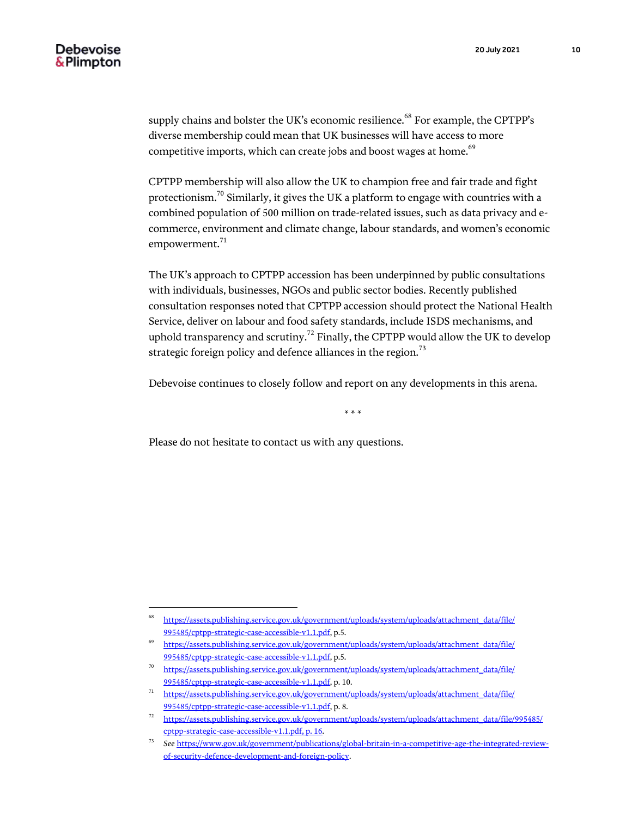supply chains and bolster the UK's economic resilience.<sup>68</sup> For example, the CPTPP's diverse membership could mean that UK businesses will have access to more competitive imports, which can create jobs and boost wages at home.<sup>69</sup>

CPTPP membership will also allow the UK to champion free and fair trade and fight protectionism.<sup>70</sup> Similarly, it gives the UK a platform to engage with countries with a combined population of 500 million on trade-related issues, such as data privacy and ecommerce, environment and climate change, labour standards, and women's economic empowerment. $71$ 

The UK's approach to CPTPP accession has been underpinned by public consultations with individuals, businesses, NGOs and public sector bodies. Recently published consultation responses noted that CPTPP accession should protect the National Health Service, deliver on labour and food safety standards, include ISDS mechanisms, and uphold transparency and scrutiny.<sup>72</sup> Finally, the CPTPP would allow the UK to develop strategic foreign policy and defence alliances in the region.<sup>73</sup>

Debevoise continues to closely follow and report on any developments in this arena.

\* \* \*

Please do not hesitate to contact us with any questions.

<sup>68</sup> [https://assets.publishing.service.gov.uk/government/uploads/system/uploads/attachment\\_data/file/](https://assets.publishing.service.gov.uk/government/uploads/system/uploads/attachment_data/file/995485/cptpp-strategic-case-accessible-v1.1.pdf) [995485/cptpp-strategic-case-accessible-v1.1.pdf,](https://assets.publishing.service.gov.uk/government/uploads/system/uploads/attachment_data/file/995485/cptpp-strategic-case-accessible-v1.1.pdf) p.5.

<sup>&</sup>lt;sup>69</sup> [https://assets.publishing.service.gov.uk/government/uploads/system/uploads/attachment\\_data/file/](https://assets.publishing.service.gov.uk/government/uploads/system/uploads/attachment_data/file/995485/cptpp-strategic-case-accessible-v1.1.pdf) [995485/cptpp-strategic-case-accessible-v1.1.pdf,](https://assets.publishing.service.gov.uk/government/uploads/system/uploads/attachment_data/file/995485/cptpp-strategic-case-accessible-v1.1.pdf) p.5.

<sup>70</sup> [https://assets.publishing.service.gov.uk/government/uploads/system/uploads/attachment\\_data/file/](https://assets.publishing.service.gov.uk/government/uploads/system/uploads/attachment_data/file/995485/cptpp-strategic-case-accessible-v1.1.pdf) [995485/cptpp-strategic-case-accessible-v1.1.pdf,](https://assets.publishing.service.gov.uk/government/uploads/system/uploads/attachment_data/file/995485/cptpp-strategic-case-accessible-v1.1.pdf) p. 10.

<sup>71</sup> [https://assets.publishing.service.gov.uk/government/uploads/system/uploads/attachment\\_data/file/](https://assets.publishing.service.gov.uk/government/uploads/system/uploads/attachment_data/file/995485/cptpp-strategic-case-accessible-v1.1.pdf) [995485/cptpp-strategic-case-accessible-v1.1.pdf,](https://assets.publishing.service.gov.uk/government/uploads/system/uploads/attachment_data/file/995485/cptpp-strategic-case-accessible-v1.1.pdf) p. 8.

<sup>&</sup>lt;sup>72</sup> [https://assets.publishing.service.gov.uk/government/uploads/system/uploads/attachment\\_data/file/995485/](https://assets.publishing.service.gov.uk/government/uploads/system/uploads/attachment_data/file/995485/cptpp-strategic-case-accessible-v1.1.pdf,%20p.%2016) [cptpp-strategic-case-accessible-v1.1.pdf, p. 16.](https://assets.publishing.service.gov.uk/government/uploads/system/uploads/attachment_data/file/995485/cptpp-strategic-case-accessible-v1.1.pdf,%20p.%2016)

<sup>73</sup> *See* [https://www.gov.uk/government/publications/global-britain-in-a-competitive-age-the-integrated-review](https://www.gov.uk/government/publications/global-britain-in-a-competitive-age-the-integrated-review-of-security-defence-development-and-foreign-policy)[of-security-defence-development-and-foreign-policy.](https://www.gov.uk/government/publications/global-britain-in-a-competitive-age-the-integrated-review-of-security-defence-development-and-foreign-policy)